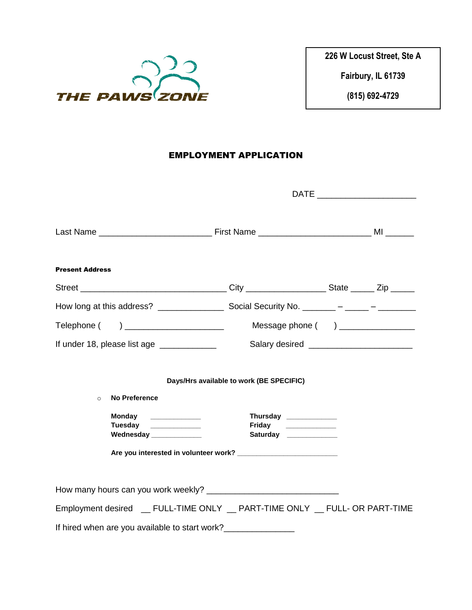

**Fairbury, IL 61739**

**(815) 692-4729**

# EMPLOYMENT APPLICATION

| <b>Present Address</b>                                                       |                                                                         |  |  |
|------------------------------------------------------------------------------|-------------------------------------------------------------------------|--|--|
|                                                                              |                                                                         |  |  |
|                                                                              |                                                                         |  |  |
|                                                                              |                                                                         |  |  |
| If under 18, please list age ______________                                  |                                                                         |  |  |
| <b>No Preference</b><br>$\circ$                                              | Days/Hrs available to work (BE SPECIFIC)                                |  |  |
| Monday _____________<br>Tuesday _____________<br>Wednesday ____________      | Thursday ___________<br>Friday ______________<br>Saturday _____________ |  |  |
|                                                                              |                                                                         |  |  |
|                                                                              |                                                                         |  |  |
| Employment desired __ FULL-TIME ONLY __ PART-TIME ONLY __ FULL- OR PART-TIME |                                                                         |  |  |
| If hired when are you available to start work?_________________              |                                                                         |  |  |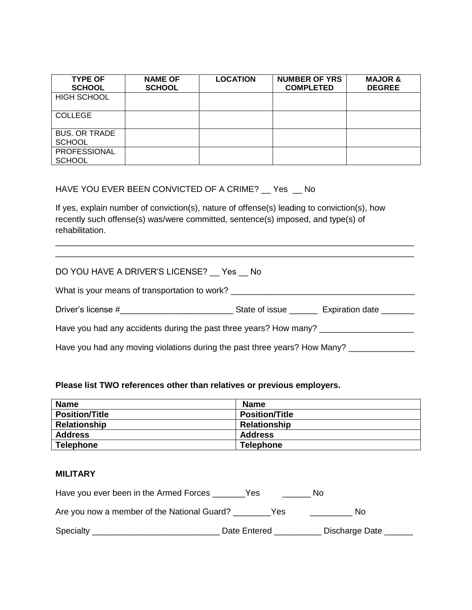| <b>TYPE OF</b><br><b>SCHOOL</b>       | <b>NAME OF</b><br><b>SCHOOL</b> | <b>LOCATION</b> | <b>NUMBER OF YRS</b><br><b>COMPLETED</b> | <b>MAJOR &amp;</b><br><b>DEGREE</b> |
|---------------------------------------|---------------------------------|-----------------|------------------------------------------|-------------------------------------|
| <b>HIGH SCHOOL</b>                    |                                 |                 |                                          |                                     |
| <b>COLLEGE</b>                        |                                 |                 |                                          |                                     |
| <b>BUS. OR TRADE</b><br><b>SCHOOL</b> |                                 |                 |                                          |                                     |
| PROFESSIONAL<br><b>SCHOOL</b>         |                                 |                 |                                          |                                     |

## HAVE YOU EVER BEEN CONVICTED OF A CRIME? \_\_ Yes \_\_ No

If yes, explain number of conviction(s), nature of offense(s) leading to conviction(s), how recently such offense(s) was/were committed, sentence(s) imposed, and type(s) of rehabilitation.

### DO YOU HAVE A DRIVER'S LICENSE? Yes No

What is your means of transportation to work? \_\_\_\_\_\_\_\_\_\_\_\_\_\_\_\_\_\_\_\_\_\_\_\_\_\_\_\_\_\_\_\_\_\_

| Driver's license #<br><b>Expiration date</b><br>State of issue |
|----------------------------------------------------------------|
|----------------------------------------------------------------|

\_\_\_\_\_\_\_\_\_\_\_\_\_\_\_\_\_\_\_\_\_\_\_\_\_\_\_\_\_\_\_\_\_\_\_\_\_\_\_\_\_\_\_\_\_\_\_\_\_\_\_\_\_\_\_\_\_\_\_\_\_\_\_\_\_\_\_\_\_\_\_\_\_\_\_\_ \_\_\_\_\_\_\_\_\_\_\_\_\_\_\_\_\_\_\_\_\_\_\_\_\_\_\_\_\_\_\_\_\_\_\_\_\_\_\_\_\_\_\_\_\_\_\_\_\_\_\_\_\_\_\_\_\_\_\_\_\_\_\_\_\_\_\_\_\_\_\_\_\_\_\_\_

Have you had any accidents during the past three years? How many? \_\_\_\_\_\_\_\_\_\_\_\_\_\_\_

Have you had any moving violations during the past three years? How Many? \_\_\_\_\_\_\_\_\_\_\_\_\_

#### **Please list TWO references other than relatives or previous employers.**

| <b>Name</b>           | <b>Name</b>           |
|-----------------------|-----------------------|
| <b>Position/Title</b> | <b>Position/Title</b> |
| <b>Relationship</b>   | <b>Relationship</b>   |
| <b>Address</b>        | <b>Address</b>        |
| <b>Telephone</b>      | <b>Telephone</b>      |

#### **MILITARY**

| Have you ever been in the Armed Forces      | Yes.         | N0.            |
|---------------------------------------------|--------------|----------------|
| Are you now a member of the National Guard? | Yes          | No             |
| Specialty                                   | Date Entered | Discharge Date |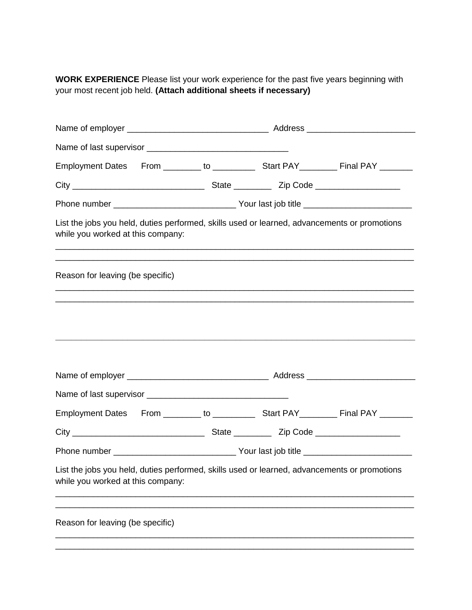**WORK EXPERIENCE** Please list your work experience for the past five years beginning with your most recent job held. **(Attach additional sheets if necessary)**

| List the jobs you held, duties performed, skills used or learned, advancements or promotions<br>while you worked at this company: |  |  |
|-----------------------------------------------------------------------------------------------------------------------------------|--|--|
| Reason for leaving (be specific)                                                                                                  |  |  |
|                                                                                                                                   |  |  |
|                                                                                                                                   |  |  |
|                                                                                                                                   |  |  |
|                                                                                                                                   |  |  |
|                                                                                                                                   |  |  |
|                                                                                                                                   |  |  |
| List the jobs you held, duties performed, skills used or learned, advancements or promotions<br>while you worked at this company: |  |  |
| Reason for leaving (be specific)                                                                                                  |  |  |
|                                                                                                                                   |  |  |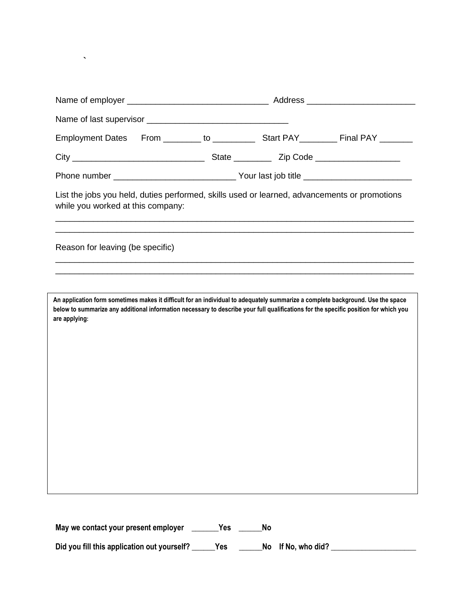| List the jobs you held, duties performed, skills used or learned, advancements or promotions<br>while you worked at this company:                                                                                                                                                        |  |                                                                                  |
|------------------------------------------------------------------------------------------------------------------------------------------------------------------------------------------------------------------------------------------------------------------------------------------|--|----------------------------------------------------------------------------------|
| Reason for leaving (be specific)                                                                                                                                                                                                                                                         |  | ,我们也不能在这里的,我们也不能在这里的,我们也不能不能不能不能不能不能不能不能不能不能不能不能不能不能不能。""我们的是我们的,我们也不能不能不能不能不能不能 |
|                                                                                                                                                                                                                                                                                          |  |                                                                                  |
| An application form sometimes makes it difficult for an individual to adequately summarize a complete background. Use the space<br>below to summarize any additional information necessary to describe your full qualifications for the specific position for which you<br>are applying: |  |                                                                                  |
|                                                                                                                                                                                                                                                                                          |  |                                                                                  |

**May we contact your present employer \_\_\_\_\_\_\_Yes \_\_\_\_\_\_No**

**`**

Did you fill this application out yourself? \_\_\_\_\_Yes \_\_\_\_\_\_No If No, who did? \_\_\_\_\_\_\_\_\_\_\_\_\_\_\_\_\_\_\_\_\_